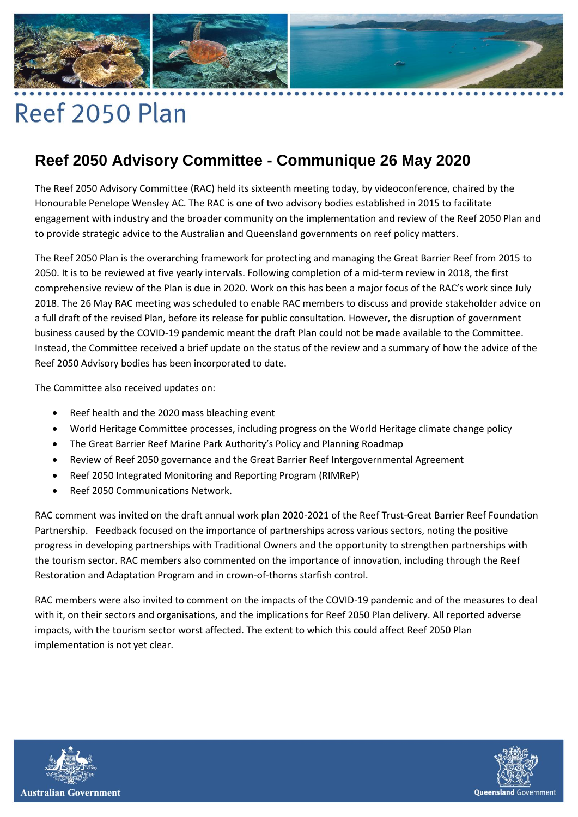

## Reef 2050 Plan

## **Reef 2050 Advisory Committee - Communique 26 May 2020**

The Reef 2050 Advisory Committee (RAC) held its sixteenth meeting today, by videoconference, chaired by the Honourable Penelope Wensley AC. The RAC is one of two advisory bodies established in 2015 to facilitate engagement with industry and the broader community on the implementation and review of the Reef 2050 Plan and to provide strategic advice to the Australian and Queensland governments on reef policy matters.

The Reef 2050 Plan is the overarching framework for protecting and managing the Great Barrier Reef from 2015 to 2050. It is to be reviewed at five yearly intervals. Following completion of a mid-term review in 2018, the first comprehensive review of the Plan is due in 2020. Work on this has been a major focus of the RAC's work since July 2018. The 26 May RAC meeting was scheduled to enable RAC members to discuss and provide stakeholder advice on a full draft of the revised Plan, before its release for public consultation. However, the disruption of government business caused by the COVID-19 pandemic meant the draft Plan could not be made available to the Committee. Instead, the Committee received a brief update on the status of the review and a summary of how the advice of the Reef 2050 Advisory bodies has been incorporated to date.

The Committee also received updates on:

- Reef health and the 2020 mass bleaching event
- World Heritage Committee processes, including progress on the World Heritage climate change policy
- The Great Barrier Reef Marine Park Authority's Policy and Planning Roadmap
- Review of Reef 2050 governance and the Great Barrier Reef Intergovernmental Agreement
- Reef 2050 Integrated Monitoring and Reporting Program (RIMReP)
- Reef 2050 Communications Network.

RAC comment was invited on the draft annual work plan 2020-2021 of the Reef Trust-Great Barrier Reef Foundation Partnership. Feedback focused on the importance of partnerships across various sectors, noting the positive progress in developing partnerships with Traditional Owners and the opportunity to strengthen partnerships with the tourism sector. RAC members also commented on the importance of innovation, including through the Reef Restoration and Adaptation Program and in crown-of-thorns starfish control.

RAC members were also invited to comment on the impacts of the COVID-19 pandemic and of the measures to deal with it, on their sectors and organisations, and the implications for Reef 2050 Plan delivery. All reported adverse impacts, with the tourism sector worst affected. The extent to which this could affect Reef 2050 Plan implementation is not yet clear.